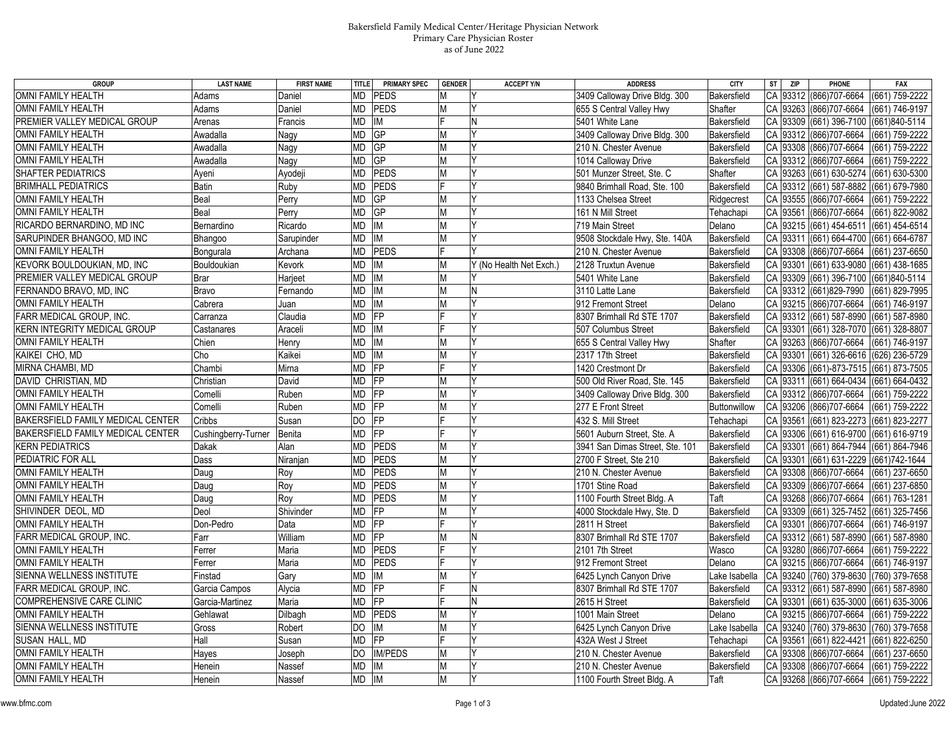## Bakersfield Family Medical Center/Heritage Physician Network Primary Care Physician Roster as of June 2022

| <b>GROUP</b>                        | <b>LAST NAME</b>    | <b>FIRST NAME</b> | <b>PRIMARY SPEC</b><br>TITLE   | <b>GENDER</b> | <b>ACCEPT Y/N</b>       | <b>ADDRESS</b>                  | <b>CITY</b>   | <b>ST</b><br><b>ZIP</b> | PHONE                         | <b>FAX</b>         |
|-------------------------------------|---------------------|-------------------|--------------------------------|---------------|-------------------------|---------------------------------|---------------|-------------------------|-------------------------------|--------------------|
| OMNI FAMILY HEALTH                  | Adams               | Daniel            | МD<br><b>PEDS</b>              | Μ             |                         | 3409 Calloway Drive Bldg. 300   | Bakersfield   |                         | CA 93312 (866) 707-6664       | (661) 759-2222     |
| <b>OMNI FAMILY HEALTH</b>           | Adams               | Daniel            | MD<br><b>PEDS</b>              | М             |                         | 655 S Central Valley Hwy        | Shafter       | <b>CA</b><br>93263      | (866) 707-6664                | (661) 746-9197     |
| PREMIER VALLEY MEDICAL GROUP        | Arenas              | Francis           | IM<br>MD                       |               | N                       | 5401 White Lane                 | Bakersfield   | CA                      | 93309 (661) 396-7100          | (661)840-5114      |
| OMNI FAMILY HEALTH                  | Awadalla            | Nagy              | GP<br>MD                       | М             | Y                       | 3409 Calloway Drive Bldg. 300   | Bakersfield   | CA<br>93312             | (866) 707-6664                | (661) 759-2222     |
| OMNI FAMILY HEALTH                  | Awadalla            | Nagy              | MD<br>GP                       | М             |                         | 210 N. Chester Avenue           | Bakersfield   | CA<br>93308             | (866) 707-6664                | (661) 759-2222     |
| <b>OMNI FAMILY HEALTH</b>           | Awadalla            | Nagy              | GP<br>MD                       | М             |                         | 1014 Calloway Drive             | Bakersfield   | CA<br>93312             | (866) 707-6664                | (661) 759-2222     |
| SHAFTER PEDIATRICS                  | Ayeni               | Ayodeji           | <b>PEDS</b><br>MD              | М             |                         | 501 Munzer Street, Ste. C       | Shafter       | CA<br>93263             | $(661) 630 - 5274$            | (661) 630-5300     |
| <b>BRIMHALL PEDIATRICS</b>          | <b>Batin</b>        | Ruby              | <b>PEDS</b><br>MD              |               | l٧                      | 9840 Brimhall Road, Ste. 100    | Bakersfield   | CA<br>93312             | (661) 587-8882                | (661) 679-7980     |
| <b>OMNI FAMILY HEALTH</b>           | Beal                | Perry             | GP<br>MD                       | M             |                         | 1133 Chelsea Street             | Ridgecrest    | CA<br>93555             | (866) 707-6664                | (661) 759-2222     |
| <b>OMNI FAMILY HEALTH</b>           | Beal                | Perry             | GP<br>MD                       | M             |                         | 161 N Mill Street               | Tehachapi     | CA<br>93561             | (866) 707-6664                | (661) 822-9082     |
| RICARDO BERNARDINO, MD INC          | Bernardino          | Ricardo           | IM<br>МD                       | М             |                         | 719 Main Street                 | Delano        | 93215<br>CA             | (661) 454-6511                | (661) 454-6514     |
| SARUPINDER BHANGOO, MD INC          | Bhangoo             | Sarupinder        | IM<br>MD                       | M             |                         | 9508 Stockdale Hwy, Ste. 140A   | Bakersfield   | CA<br>93311             | (661) 664-4700                | (661) 664-6787     |
| <b>OMNI FAMILY HEALTH</b>           | Bongurala           | Archana           | <b>PEDS</b><br>MD              |               | <b>V</b>                | 210 N. Chester Avenue           | Bakersfield   | 93308<br>CA             | (866) 707-6664                | (661) 237-6650     |
| KEVORK BOULDOUKIAN, MD, INC         | Bouldoukian         | Kevork            | IM<br>MD                       | M             | Y (No Health Net Exch.) | 2128 Truxtun Avenue             | Bakersfield   | CA<br>93301             | (661) 633-9080                | (661) 438-1685     |
| PREMIER VALLEY MEDICAL GROUP        | <b>Brar</b>         | Harjeet           | MD<br>IM                       | М             |                         | 5401 White Lane                 | Bakersfield   | CA<br>93309             | (661) 396-7100                | (661)840-5114      |
| FERNANDO BRAVO, MD, INC             | Bravo               | Fernando          | $\overline{\mathsf{I}}$<br>MD  | М             | N                       | 3110 Latte Lane                 | Bakersfield   | 93312<br>CA             | (661)829-7990                 | (661) 829-7995     |
| OMNI FAMILY HEALTH                  | Cabrera             | Juan              | IM<br>МD                       | М             |                         | 912 Fremont Street              | Delano        | 93215<br>CA             | (866) 707-6664                | (661) 746-9197     |
| FARR MEDICAL GROUP, INC.            | Carranza            | Claudia           | FP<br>MD                       |               |                         | 8307 Brimhall Rd STE 1707       | Bakersfield   | CA<br>93312             | (661) 587-8990                | (661) 587-8980     |
| <b>KERN INTEGRITY MEDICAL GROUP</b> | Castanares          | Araceli           | MD<br>IM                       |               |                         | 507 Columbus Street             | Bakersfield   | CA<br>93301             | (661) 328-7070                | (661) 328-8807     |
| OMNI FAMILY HEALTH                  | Chien               | Henry             | MD<br>IM                       |               |                         | 655 S Central Valley Hwy        | Shafter       | CA<br>93263             | (866) 707-6664                | (661) 746-9197     |
| KAIKEI CHO, MD                      | Cho                 | Kaikei            | IM<br>$\overline{\mathsf{MD}}$ | М             |                         | 2317 17th Street                | Bakersfield   | CA<br>93301             | $(661)$ 326-6616              | (626) 236-5729     |
| MIRNA CHAMBI, MD                    | Chambi              | Mirna             | FP<br>MD                       |               | Iv                      | 1420 Crestmont Dr               | Bakersfield   | CA<br>93306             | (661)-873-7515 (661) 873-7505 |                    |
| DAVID CHRISTIAN, MD                 | Christian           | David             | FP<br>MD                       | M             |                         | 500 Old River Road, Ste. 145    | Bakersfield   | 93311<br>CA             | (661) 664-0434 (661) 664-0432 |                    |
| OMNI FAMILY HEALTH                  | Comelli             | Ruben             | FP<br>MD                       | М             |                         | 3409 Calloway Drive Bldg. 300   | Bakersfield   | CA<br>93312             | (866) 707-6664                | (661) 759-2222     |
| <b>OMNI FAMILY HEALTH</b>           | Comelli             | Ruben             | MD<br>FP                       | М             |                         | 277 E Front Street              | Buttonwillow  | CA<br>93206             | (866) 707-6664                | (661) 759-2222     |
| BAKERSFIELD FAMILY MEDICAL CENTER   | Cribbs              | Susan             | $\overline{FP}$<br>DO          |               | <b>V</b>                | 432 S. Mill Street              | Tehachapi     | CA<br>93561             | (661) 823-2273                | $(661) 823 - 2277$ |
| BAKERSFIELD FAMILY MEDICAL CENTER   | Cushingberry-Turner | Benita            | FP<br>MD                       |               |                         | 5601 Auburn Street, Ste. A      | Bakersfield   | 93306<br>CA             | (661) 616-9700                | (661) 616-9719     |
| <b>KERN PEDIATRICS</b>              | Dakak               | Alan              | PEDS<br>MD                     | М             |                         | 3941 San Dimas Street, Ste. 101 | Bakersfield   | CA<br>93301             | (661) 864-7944                | (661) 864-7946     |
| PEDIATRIC FOR ALL                   | Dass                | Niranjan          | PEDS<br>MD                     | M             |                         | 2700 F Street, Ste 210          | Bakersfield   | 93301<br>CA             | (661) 631-2229                | (661) 742-1644     |
| OMNI FAMILY HEALTH                  | Daug                | Roy               | <b>PEDS</b><br>МD              | М             |                         | 210 N. Chester Avenue           | Bakersfield   | CA<br>93308             | (866) 707-6664                | (661) 237-6650     |
| OMNI FAMILY HEALTH                  | Daug                | Roy               | <b>PEDS</b><br>МD              | M             | l٧                      | 1701 Stine Road                 | Bakersfield   | CA<br>93309             | (866) 707-6664                | (661) 237-6850     |
| <b>OMNI FAMILY HEALTH</b>           | Daug                | Roy               | PEDS<br>MD                     | M             |                         | 1100 Fourth Street Bldg. A      | Taft          | CA<br>93268             | (866) 707-6664                | (661) 763-1281     |
| SHIVINDER DEOL, MD                  | Deol                | Shivinder         | <b>MD</b><br>FP                | М             | Y                       | 4000 Stockdale Hwy, Ste. D      | Bakersfield   | CA<br>93309             | (661) 325-7452                | (661) 325-7456     |
| <b>OMNI FAMILY HEALTH</b>           | Don-Pedro           | Data              | MD<br>FP                       |               |                         | 2811 H Street                   | Bakersfield   | CA<br>93301             | (866) 707-6664                | (661) 746-9197     |
| FARR MEDICAL GROUP, INC.            | Farr                | William           | FP<br>MD                       | M             | N                       | 8307 Brimhall Rd STE 1707       | Bakersfield   | CA<br>93312             | (661) 587-8990                | (661) 587-8980     |
| <b>OMNI FAMILY HEALTH</b>           | Ferrer              | Maria             | <b>PEDS</b><br>MD              |               | l٧                      | 2101 7th Street                 | Wasco         | 93280<br>CA             | (866) 707-6664                | (661) 759-2222     |
| OMNI FAMILY HEALTH                  | Ferrer              | Maria             | <b>PEDS</b><br>MD              |               | l٧                      | 912 Fremont Street              | Delano        | CA 93215                | (866) 707-6664                | (661) 746-9197     |
| SIENNA WELLNESS INSTITUTE           | Finstad             | Gary              | MD<br>IM                       | М             | Y                       | 6425 Lynch Canyon Drive         | Lake Isabella | CA<br>93240             | (760) 379-8630                | (760) 379-7658     |
| FARR MEDICAL GROUP, INC.            | Garcia Campos       | Alycia            | FP<br>MD                       |               | N                       | 8307 Brimhall Rd STE 1707       | Bakersfield   | CA<br>93312             | (661) 587-8990                | (661) 587-8980     |
| <b>COMPREHENSIVE CARE CLINIC</b>    | Garcia-Martinez     | Maria             | MD<br>FP                       |               | N                       | 2615 H Street                   | Bakersfield   | CA<br>93301             | (661) 635-3000                | (661) 635-3006     |
| OMNI FAMILY HEALTH                  | Gehlawat            | Dilbagh           | <b>PEDS</b><br>MD              | M             | Y                       | 1001 Main Street                | Delano        | 93215<br>CA             | (866) 707-6664                | (661) 759-2222     |
| SIENNA WELLNESS INSTITUTE           | Gross               | Robert            | IM<br>DO                       | М             |                         | 6425 Lynch Canyon Drive         | Lake Isabella | CA 93240                | (760) 379-8630                | (760) 379-7658     |
| SUSAN HALL, MD                      | Hall                | Susan             | $\overline{FP}$<br>MD          |               | Y                       | 432A West J Street              | Tehachapi     | CA<br>93561             | (661) 822-4421                | (661) 822-6250     |
| OMNI FAMILY HEALTH                  | Hayes               | Joseph            | DO.<br><b>IM/PEDS</b>          | М             |                         | 210 N. Chester Avenue           | Bakersfield   | CA<br>93308             | (866) 707-6664                | (661) 237-6650     |
| <b>OMNI FAMILY HEALTH</b>           | Henein              | Nassef            | MD<br>IM                       | М             | IY                      | 210 N. Chester Avenue           | Bakersfield   | CA<br>93308             | (866) 707-6664                | (661) 759-2222     |
| OMNI FAMILY HEALTH                  | Henein              | Nassef            | $MD$ $ \overline{M} $          | M             | lΥ                      | 1100 Fourth Street Bldg. A      | Taft          |                         | CA 93268 (866) 707-6664       | (661) 759-2222     |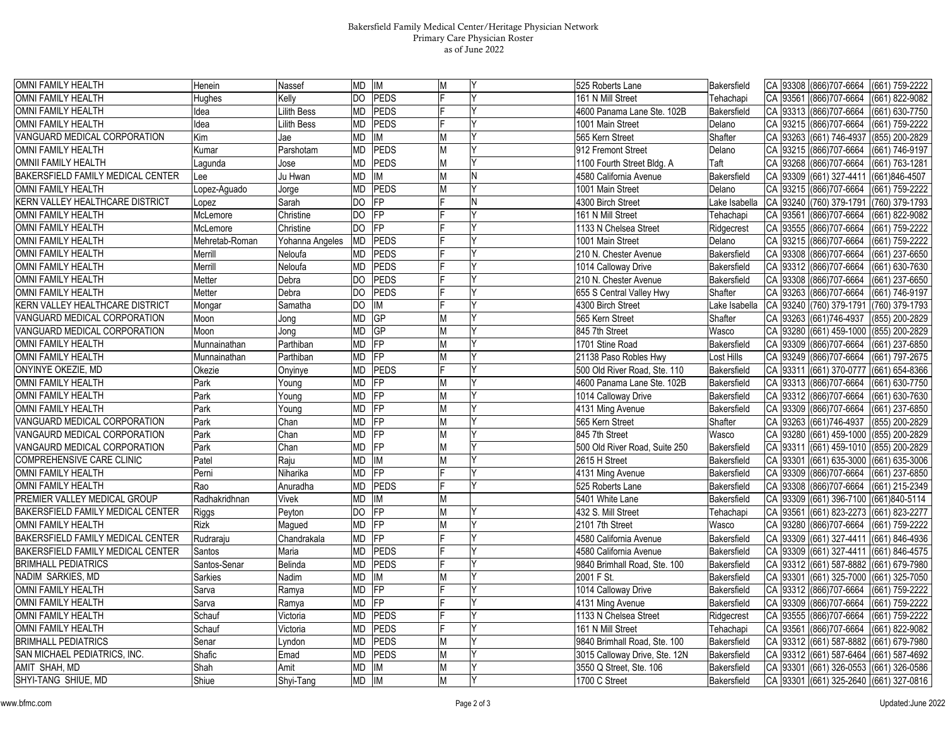## Bakersfield Family Medical Center/Heritage Physician Network Primary Care Physician Roster as of June 2022

| OMNI FAMILY HEALTH                     | Henein         | Nassef             | MD IM                    |                 | M |   | 525 Roberts Lane              | Bakersfield   |     |          | CA 93308 (866) 707-6664                | (661) 759-2222 |
|----------------------------------------|----------------|--------------------|--------------------------|-----------------|---|---|-------------------------------|---------------|-----|----------|----------------------------------------|----------------|
| OMNI FAMILY HEALTH                     | Hughes         | Kelly              | DO                       | <b>PEDS</b>     |   |   | 161 N Mill Street             | Tehachapi     | CA  | 93561    | (866) 707-6664                         | (661) 822-9082 |
| OMNI FAMILY HEALTH                     | dea            | Lilith Bess        | MD                       | PEDS            |   |   | 4600 Panama Lane Ste. 102B    | Bakersfield   | CA  | 93313    | (866) 707-6664                         | (661) 630-7750 |
| <b>OMNI FAMILY HEALTH</b>              | dea            | <b>Lilith Bess</b> | MD                       | PEDS            |   |   | 1001 Main Street              | Delano        |     |          | CA 93215 (866) 707-6664                | (661) 759-2222 |
| VANGUARD MEDICAL CORPORATION           | Kim            | Jae                | МD                       | IM              | M |   | 565 Kern Street               | Shafter       | CA  | 93263    | (661) 746-4937                         | (855) 200-2829 |
| <b>OMNI FAMILY HEALTH</b>              | Kumar          | Parshotam          | MD                       | <b>PEDS</b>     | M |   | 912 Fremont Street            | Delano        | СA  | 93215    | (866) 707-6664                         | (661) 746-9197 |
| OMNII FAMILY HEALTH                    | .agunda        | Jose               | МD                       | <b>PEDS</b>     | M |   | 1100 Fourth Street Bldg. A    | Taft          | CA  | 93268    | (866) 707-6664                         | (661) 763-1281 |
| BAKERSFIELD FAMILY MEDICAL CENTER      | ee.            | Ju Hwan            | MD                       | <b>IM</b>       | М | N | 4580 California Avenue        | Bakersfield   | CA  | 93309    | (661) 327-4411                         | (661)846-4507  |
| <b>OMNI FAMILY HEALTH</b>              | Lopez-Aguado   | Jorge              | МD                       | PEDS            | М |   | 1001 Main Street              | Delano        |     | CA 93215 | (866) 707-6664                         | (661) 759-2222 |
| KERN VALLEY HEALTHCARE DISTRICT        | opez.          | Sarah              | DO                       | <b>IFP</b>      |   | N | 4300 Birch Street             | ake Isabella  | CA  | 93240    | (760) 379-1791                         | (760) 379-1793 |
| <b>OMNI FAMILY HEALTH</b>              | McLemore       | Christine          | DO                       | FP              |   |   | 161 N Mill Street             | Tehachapi     | CA  | 93561    | (866) 707-6664                         | (661) 822-9082 |
| OMNI FAMILY HEALTH                     | McLemore       | Christine          | <b>DO</b>                | $\overline{FP}$ |   |   | 1133 N Chelsea Street         | Ridgecrest    | CA  | 93555    | (866) 707-6664                         | (661) 759-2222 |
| OMNI FAMILY HEALTH                     | Mehretab-Roman | Yohanna Angeles    | MD                       | <b>PEDS</b>     |   |   | 1001 Main Street              | Delano        | CA  | 93215    | (866) 707-6664                         | (661) 759-2222 |
| <b>OMNI FAMILY HEALTH</b>              | Merrill        | Neloufa            | MD                       | <b>PEDS</b>     |   |   | 210 N. Chester Avenue         | Bakersfield   | CA  | 93308    | (866) 707-6664                         | (661) 237-6650 |
| OMNI FAMILY HEALTH                     | Merrill        | Neloufa            | МD                       | <b>PEDS</b>     |   |   | 1014 Calloway Drive           | Bakersfield   | CA  | 93312    | (866) 707-6664                         | (661) 630-7630 |
| OMNI FAMILY HEALTH                     | Metter         | Debra              | DO                       | <b>PEDS</b>     |   |   | 210 N. Chester Avenue         | Bakersfield   | CA  | 93308    | (866) 707-6664                         | (661) 237-6650 |
| OMNI FAMILY HEALTH                     | Metter         | Debra              | DO                       | <b>PEDS</b>     |   |   | 655 S Central Valley Hwy      | Shafter       |     | CA 93263 | (866) 707-6664                         | (661) 746-9197 |
| <b>KERN VALLEY HEALTHCARE DISTRICT</b> | Mongar         | Samatha            | DO                       | <b>IM</b>       |   |   | 4300 Birch Street             | Lake Isabella | CA  | 93240    | (760) 379-1791                         | (760) 379-1793 |
| VANGUARD MEDICAL CORPORATION           | Moon           | Jong               | MD                       | GP              | M |   | 565 Kern Street               | Shafter       | СA  | 93263    | (661) 746-4937                         | (855) 200-2829 |
| VANGUARD MEDICAL CORPORATION           | Moon           | Jong               | ИD                       | <b>GP</b>       | М |   | 845 7th Street                | Wasco         | СA  | 93280    | (661) 459-1000                         | (855) 200-2829 |
| OMNI FAMILY HEALTH                     | Munnainathan   | Parthiban          | MD                       | <b>FP</b>       | M |   | 1701 Stine Road               | Bakersfield   | CA  | 93309    | (866) 707-6664                         | (661) 237-6850 |
| <b>OMNI FAMILY HEALTH</b>              | Munnainathan   | Parthiban          | MD                       | <b>FP</b>       | M |   | 21138 Paso Robles Hwy         | Lost Hills    | C A | 93249    | (866) 707-6664                         | (661) 797-2675 |
| ONYINYE OKEZIE, MD                     | Okezie         | Onyinye            | MD                       | PEDS            |   |   | 500 Old River Road, Ste. 110  | Bakersfield   |     | CA 93311 | (661) 370-0777                         | (661) 654-8366 |
| OMNI FAMILY HEALTH                     | Park           | Young              | MD                       | <b>FP</b>       | M | γ | 4600 Panama Lane Ste. 102B    | Bakersfield   | CA  | 93313    | (866) 707-6664                         | (661) 630-7750 |
| <b>OMNI FAMILY HEALTH</b>              | Park           | Young              | ИD                       | $\overline{F}$  | M |   | 1014 Calloway Drive           | Bakersfield   | CA  |          | 93312 (866) 707-6664                   | (661) 630-7630 |
| <b>OMNI FAMILY HEALTH</b>              | Park           | Young              | MD                       | $\overline{FP}$ | M |   | 4131 Ming Avenue              | Bakersfield   |     | CA 93309 | (866) 707-6664                         | (661) 237-6850 |
| VANGUARD MEDICAL CORPORATION           | Park           | Chan               | MD                       | <b>FP</b>       | M |   | 565 Kern Street               | Shafter       | СA  |          | 93263 (661) 746-4937                   | (855) 200-2829 |
| VANGAURD MEDICAL CORPORATION           | Park           | Chan               | MD                       | <b>FP</b>       | M |   | 845 7th Street                | Wasco         | СA  | 93280    | (661) 459-1000                         | (855) 200-2829 |
| VANGAURD MEDICAL CORPORATION           | Park           | Chan               | ИD                       | FP              | M |   | 500 Old River Road, Suite 250 | Bakersfield   | CA  | 93311    | (661) 459-1010                         | (855) 200-2829 |
| COMPREHENSIVE CARE CLINIC              | Patel          | Raju               | ИD                       | IM              | M |   | 2615 H Street                 | Bakersfield   | CA  | 93301    | $(661) 635-3000$                       | (661) 635-3006 |
| <b>OMNI FAMILY HEALTH</b>              | Perni          | Niharika           | ИD                       | $\overline{F}$  |   |   | 4131 Ming Avenue              | Bakersfield   | СA  | 93309    | (866) 707-6664                         | (661) 237-6850 |
| <b>OMNI FAMILY HEALTH</b>              | Rao            | Anuradha           | MD                       | <b>PEDS</b>     |   |   | 525 Roberts Lane              | Bakersfield   | CA  | 93308    | (866) 707-6664                         | (661) 215-2349 |
| PREMIER VALLEY MEDICAL GROUP           | Radhakridhnan  | Vivek              | МD                       | <b>IM</b>       | M |   | 5401 White Lane               | Bakersfield   | CA  | 93309    | (661) 396-7100                         | (661)840-5114  |
| BAKERSFIELD FAMILY MEDICAL CENTER      | <b>Riggs</b>   | Peyton             | DO.                      | <b>IFP</b>      | M |   | 432 S. Mill Street            | Tehachapi     | CA  | 93561    | (661) 823-2273                         | (661) 823-2277 |
| <b>OMNI FAMILY HEALTH</b>              | Rizk           | Magued             | МD                       | <b>FP</b>       | М |   | 2101 7th Street               | Wasco         | CA  | 93280    | (866) 707-6664                         | (661) 759-2222 |
| BAKERSFIELD FAMILY MEDICAL CENTER      | Rudraraju      | Chandrakala        | MD                       | FP              |   |   | 4580 California Avenue        | Bakersfield   | CA  | 93309    | (661) 327-4411                         | (661) 846-4936 |
| BAKERSFIELD FAMILY MEDICAL CENTER      | Santos         | Maria              | МD                       | PEDS            |   | Υ | 4580 California Avenue        | Bakersfield   | CA  |          | 93309 (661) 327-4411                   | (661) 846-4575 |
| <b>BRIMHALL PEDIATRICS</b>             | Santos-Senar   | Belinda            | MD                       | <b>PEDS</b>     |   |   | 9840 Brimhall Road, Ste. 100  | Bakersfield   | CA  |          | 93312 (661) 587-8882                   | (661) 679-7980 |
| NADIM SARKIES, MD                      | Sarkies        | Nadim              | MD                       | <b>IM</b>       | M |   | 2001 F St.                    | Bakersfield   |     | CA 93301 | $(661)$ 325-7000                       | (661) 325-7050 |
| OMNI FAMILY HEALTH                     | Sarva          | Ramya              | МD                       | <b>FP</b>       |   |   | 1014 Calloway Drive           | Bakersfield   | CA  | 93312    | (866) 707-6664                         | (661) 759-2222 |
| OMNI FAMILY HEALTH                     | Sarva          | Ramya              | $\overline{\mathsf{MD}}$ | <b>IFP</b>      |   |   | 4131 Ming Avenue              | Bakersfield   | CA  | 93309    | (866) 707-6664                         | (661) 759-2222 |
| OMNI FAMILY HEALTH                     | Schauf         | Victoria           | МD                       | PEDS            |   |   | 1133 N Chelsea Street         | Ridgecrest    |     |          | CA 93555 (866) 707-6664                | (661) 759-2222 |
| OMNI FAMILY HEALTH                     | Schauf         | Victoria           | МD                       | PEDS            |   |   | 161 N Mill Street             | Tehachapi     |     | CA 93561 | (866) 707-6664                         | (661) 822-9082 |
| <b>BRIMHALL PEDIATRICS</b>             | Senar          | Lyndon             | MD                       | <b>PEDS</b>     | M |   | 9840 Brimhall Road, Ste. 100  | Bakersfield   | CA  |          | 93312 (661) 587-8882                   | (661) 679-7980 |
| SAN MICHAEL PEDIATRICS, INC.           | Shafic         | Emad               | <b>MD</b>                | PEDS            | M |   | 3015 Calloway Drive, Ste. 12N | Bakersfield   |     | CA 93312 | (661) 587-6464                         | (661) 587-4692 |
| AMIT SHAH. MD                          | Shah           | Amit               | MD                       | <b>IM</b>       | M | Υ | 3550 Q Street, Ste. 106       | Bakersfield   | CA  | 93301    | (661) 326-0553                         | (661) 326-0586 |
| SHYI-TANG SHIUE, MD                    | Shiue          | Shyi-Tang          | MD                       | <b>IM</b>       |   |   | 1700 C Street                 | Bakersfield   |     |          | CA 93301 (661) 325-2640 (661) 327-0816 |                |